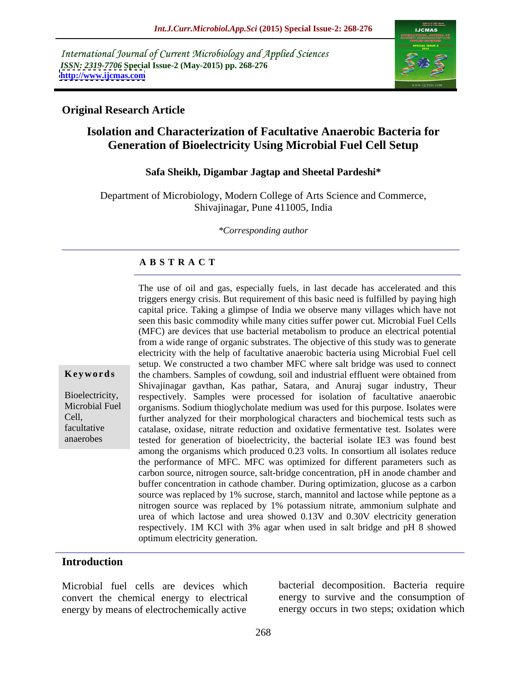International Journal of Current Microbiology and Applied Sciences *ISSN: 2319-7706* **Special Issue-2 (May-2015) pp. 268-276 <http://www.ijcmas.com>**



### **Original Research Article**

# **Isolation and Characterization of Facultative Anaerobic Bacteria for Generation of Bioelectricity Using Microbial Fuel Cell Setup**

### **Safa Sheikh, Digambar Jagtap and Sheetal Pardeshi\***

Department of Microbiology, Modern College of Arts Science and Commerce, Shivajinagar, Pune 411005, India

*\*Corresponding author*

### **A B S T R A C T**

The use of oil and gas, especially fuels, in last decade has accelerated and this triggers energy crisis. But requirement of this basic need is fulfilled by paying high capital price. Taking a glimpse of India we observe many villages which have not seen this basic commodity while many cities suffer power cut. Microbial Fuel Cells (MFC) are devices that use bacterial metabolism to produce an electrical potential from a wide range of organic substrates. The objective of this study was to generate electricity with the help of facultative anaerobic bacteria using Microbial Fuel cell setup. We constructed a two chamber MFC where salt bridge was used to connect **Keywords** the chambers. Samples of cowdung, soil and industrial effluent were obtained from Shivajinagar gavthan, Kas pathar, Satara, and Anuraj sugar industry, Theur Bioelectricity, respectively. Samples were processed for isolation of facultative anaerobic Microbial Fuel organisms. Sodium thioglycholate medium was used for this purpose. Isolates were further analyzed for their morphological characters and biochemical tests such as Cell, facultative catalase, oxidase, nitrate reduction and oxidative fermentative test. Isolates were tested for generation of bioelectricity, the bacterial isolate IE3 was found best among the organisms which produced 0.23 volts. In consortium all isolates reduce the performance of MFC. MFC was optimized for different parameters such as carbon source, nitrogen source, salt-bridge concentration, pH in anode chamber and buffer concentration in cathode chamber. During optimization, glucose as a carbon source was replaced by 1% sucrose, starch, mannitol and lactose while peptone as a nitrogen source was replaced by 1% potassium nitrate, ammonium sulphate and urea of which lactose and urea showed 0.13V and 0.30V electricity generation respectively. 1M KCl with 3% agar when used in salt bridge and pH 8 showed optimum electricity generation.

### **Introduction**

anaerobes

Microbial fuel cells are devices which convert the chemical energy to electrical energy by means of electrochemically active

bacterial decomposition. Bacteria require energy to survive and the consumption of energy occurs in two steps; oxidation which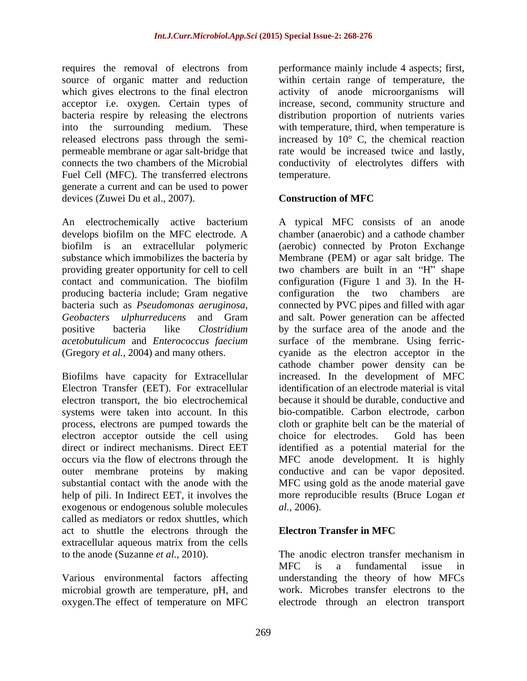acceptor i.e. oxygen. Certain types of bacteria respire by releasing the electrons Fuel Cell (MFC). The transferred electrons temperature. generate a current and can be used to power devices (Zuwei Du et al., 2007). **Construction of MFC** 

contact and communication. The biofilm producing bacteria include; Gram negative configuration the two chambers are

Biofilms have capacity for Extracellular Electron Transfer (EET). For extracellular electron transport, the bio electrochemical electron acceptor outside the cell using choice for electrodes. Gold has been exogenous or endogenous soluble molecules *al.*, 2006). called as mediators or redox shuttles, which act to shuttle the electrons through the **Electron Transfer in MFC** extracellular aqueous matrix from the cells to the anode (Suzanne *et al.*, 2010). The anodic electron transfer mechanism in

Various environmental factors affecting microbial growth are temperature, pH, and oxygen.The effect of temperature on MFC

requires the removal of electrons from performance mainly include 4 aspects; first, source of organic matter and reduction within certain range of temperature, the which gives electrons to the final electron activity of anode microorganisms will into the surrounding medium. These with temperature, third, when temperature is released electrons pass through the semi-<br>increased by  $10^{\circ}$  C, the chemical reaction permeable membrane or agar salt-bridge that rate would be increased twice and lastly, connects the two chambers of the Microbial conductivity of electrolytes differs with increase, second, community structure and distribution proportion of nutrients varies temperature.

# **Construction of MFC**

An electrochemically active bacterium A typical MFC consists of an anode develops biofilm on the MFC electrode. A chamber (anaerobic) and a cathode chamber biofilm is an extracellular polymeric (aerobic) connected by Proton Exchange substance which immobilizes the bacteria by Membrane (PEM) or agar salt bridge. The providing greater opportunity for cell to cell two chambers are built in an "H" shape bacteria such as *Pseudomonas aeruginosa,* connected by PVC pipes and filled with agar *Geobacters ulphurreducens* and Gram and salt. Power generation can be affected positive bacteria like *Clostridium*  by the surface area of the anode and the *acetobutulicum* and *Enterococcus faecium* surface of the membrane. Using ferric- (Gregory *et al.,* 2004) and many others. cyanide as the electron acceptor in the systems were taken into account. In this bio-compatible. Carbon electrode, carbon process, electrons are pumped towards the cloth or graphite belt can be the material of direct or indirect mechanisms. Direct EET identified as a potential material for the occurs via the flow of electrons through the MFC anode development. It is highly outer membrane proteins by making conductive and can be vapor deposited. substantial contact with the anode with the MFC using gold as the anode material gave help of pili. In Indirect EET, it involves the more reproducible results (Bruce Logan *et*  configuration (Figure 1 and 3). In the H configuration the two chambers are cathode chamber power density can be increased. In the development of MFC identification of an electrode material is vital because it should be durable, conductive and choice for electrodes. Gold has been *al.,* 2006).

# **Electron Transfer in MFC**

The anodic electron transfer mechanism in MFC is a fundamental issue in understanding the theory of how MFCs work. Microbes transfer electrons to the electrode through an electron transport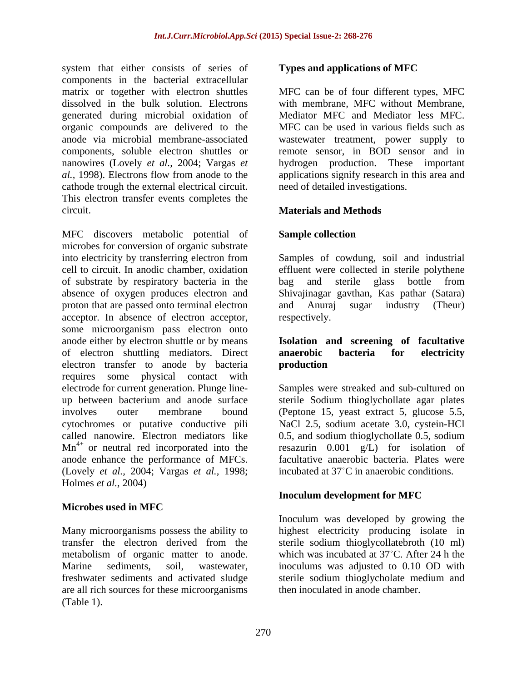system that either consists of series of **Types and applications of MFC** components in the bacterial extracellular matrix or together with electron shuttles MFC can be of four different types, MFC dissolved in the bulk solution. Electrons generated during microbial oxidation of organic compounds are delivered to the anode via microbial membrane-associated wastewater treatment, power supply to components, soluble electron shuttles or remote sensor, in BOD sensor and in nanowires (Lovely *et al.,* 2004; Vargas *et*  hydrogen production. These important al., 1998). Electrons flow from anode to the applications signify research in this area and cathode trough the external electrical circuit. This electron transfer events completes the circuit. **Materials and Methods**

MFC discovers metabolic potential of **Sample collection** microbes for conversion of organic substrate into electricity by transferring electron from Samples of cowdung, soil and industrial cell to circuit. In anodic chamber, oxidation effluent were collected in sterile polythene of substrate by respiratory bacteria in the absence of oxygen produces electron and Shivajinagar gavthan, Kas pathar (Satara) proton that are passed onto terminal electron and Anuraj sugar industry (Theur) acceptor. In absence of electron acceptor, some microorganism pass electron onto anode either by electron shuttle or by means **Isolation and screening of facultative**  of electron shuttling mediators. Direct anaerobic bacteria for electricity electron transfer to anode by bacteria requires some physical contact with electrode for current generation. Plunge line- Samples were streaked and sub-cultured on up between bacterium and anode surface involves outer membrane bound (Peptone 15, yeast extract 5, glucose 5.5, cytochromes or putative conductive pili called nanowire. Electron mediators like  $Mn^{4+}$  or neutral red incorporated into the anode enhance the performance of MFCs. (Lovely *et al.,* 2004; Vargas *et al.,* 1998; Holmes *et al.,* 2004)

# **Microbes used in MFC**

Many microorganisms possess the ability to highest electricity producing isolate in transfer the electron derived from the sterile sodium thioglycollatebroth (10 ml) metabolism of organic matter to anode. Which was incubated at 37°C. After 24 h the Marine sediments, soil, wastewater, inoculums was adjusted to 0.10 OD with freshwater sediments and activated sludge are all rich sources for these microorganisms (Table 1).

# **Types and applications of MFC**

with membrane, MFC without Membrane, Mediator MFC and Mediator less MFC. MFC can be used in various fields such as need of detailed investigations.

# **Sample collection**

bag and sterile glass bottle from and Anuraj sugar industry (Theur) respectively.

# **anaerobic bacteria for electricity production**

or neutral red incorporated into the resazurin 0.001 g/L) for isolation of sterile Sodium thioglychollate agar plates NaCl 2.5, sodium acetate 3.0, cystein-HCl 0.5, and sodium thioglychollate 0.5, sodium facultative anaerobic bacteria. Plates were incubated at 37°C in anaerobic conditions.

# **Inoculum development for MFC**

Inoculum was developed by growing the sterile sodium thioglycholate medium and then inoculated in anode chamber.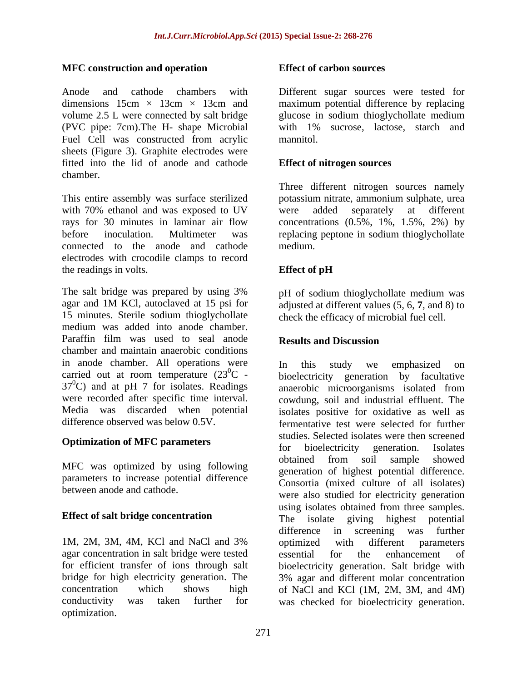### **MFC construction and operation**

Anode and cathode chambers with Different sugar sources were tested for dimensions  $15cm \times 13cm \times 13cm$  and maximum potential difference by replacing volume 2.5 L were connected by salt bridge (PVC pipe: 7cm).The H- shape Microbial Fuel Cell was constructed from acrylic mannitol. sheets (Figure 3). Graphite electrodes were fitted into the lid of anode and cathode chamber.

This entire assembly was surface sterilized potassium nitrate, ammonium sulphate, urea with 70% ethanol and was exposed to UV were added separately at different rays for 30 minutes in laminar air flow concentrations (0.5%, 1%, 1.5%, 2%) by before inoculation. Multimeter was replacing peptone in sodium thioglychollate connected to the anode and cathode electrodes with crocodile clamps to record the readings in volts. Effect of pH

The salt bridge was prepared by using 3% bH of sodium thiogly chollate medium was agar and 1M KCl, autoclaved at 15 psi for 15 minutes. Sterile sodium thioglychollate medium was added into anode chamber. Paraffin film was used to seal anode **Results and Discussion** chamber and maintain anaerobic conditions in anode chamber. All operations were In this study we emphasized on carried out at room temperature  $(23^0C 37^{\circ}$ C) and at pH 7 for isolates. Readings anaerobic microorganisms isolated from

parameters to increase potential difference

agar concentration in salt bridge were tested essential for the enhancement of bridge for high electricity generation. The conductivity was taken further for was checked for bioelectricity generation.optimization.

### **Effect of carbon sources**

glucose in sodium thioglychollate medium with 1% sucrose, lactose, starch and mannitol.

### **Effect of nitrogen sources**

Three different nitrogen sources namely were added separately at different medium.

# **Effect of pH**

pH of sodium thioglychollate medium was adjusted at different values (5, 6, **7**, and 8) to check the efficacy of microbial fuel cell.

### **Results and Discussion**

 ${}^{0}C$  - bioelectricity generation by facultative were recorded after specific time interval. cowdung, soil and industrial effluent. The Media was discarded when potential isolates positive for oxidative as well as difference observed was below 0.5V. fermentative test were selected for further **Optimization of MFC parameters** studies. Selected isolates were then selected<br>for bioelectricity generation. Isolates MFC was optimized by using following by the properties of highest potential difference between anode and cathode.<br>
were also studied for electricity generation **Effect of salt bridge concentration** The isolate giving highest potential 1M, 2M, 3M, 4M, KCl and NaCl and 3% optimized with different parameters for efficient transfer of ions through salt bioelectricity generation. Salt bridge with concentration which shows high of NaCl and KCl (1M, 2M, 3M, and 4M) In this study we emphasized on anaerobic microorganisms isolated from studies. Selected isolates were then screened for bioelectricity generation. Isolates obtained from soil sample showed generation of highest potential difference. Consortia (mixed culture of all isolates) using isolates obtained from three samples. The isolate giving highest potential difference in screening was further optimized with different parameters essential for the enhancement of 3% agar and different molar concentration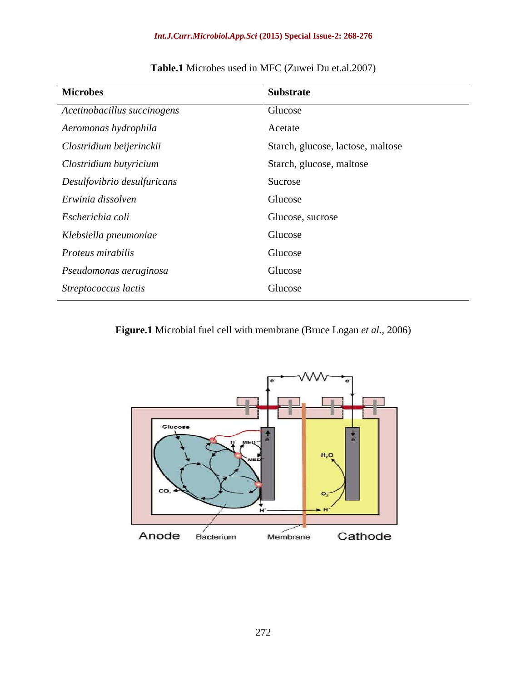#### *Int.J.Curr.Microbiol.App.Sci* **(2015) Special Issue-2: 268-276**

| <b>Microbes</b>             | Substrate                         |
|-----------------------------|-----------------------------------|
| Acetinobacillus succinogens | Glucose                           |
| Aeromonas hydrophila        | Acetate                           |
| Clostridium beijerinckii    | Starch, glucose, lactose, maltose |
| Clostridium butyricium      | Starch, glucose, maltose          |
| Desulfovibrio desulfuricans | Sucrose                           |
| Erwinia dissolven           | Glucose                           |
| Escherichia coli            | Glucose, sucrose                  |
| Klebsiella pneumoniae       | Glucose                           |
| Proteus mirabilis           | Glucose                           |
| Pseudomonas aeruginosa      | Glucose                           |
| Streptococcus lactis        | Glucose                           |

# **Table.1** Microbes used in MFC (Zuwei Du et.al.2007)

**Figure.1** Microbial fuel cell with membrane (Bruce Logan *et al.,* 2006)

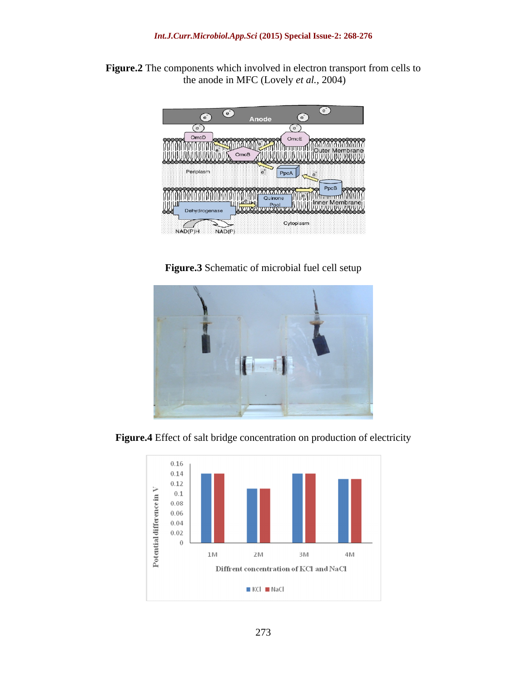



**Figure.3** Schematic of microbial fuel cell setup



**Figure.4** Effect of salt bridge concentration on production of electricity

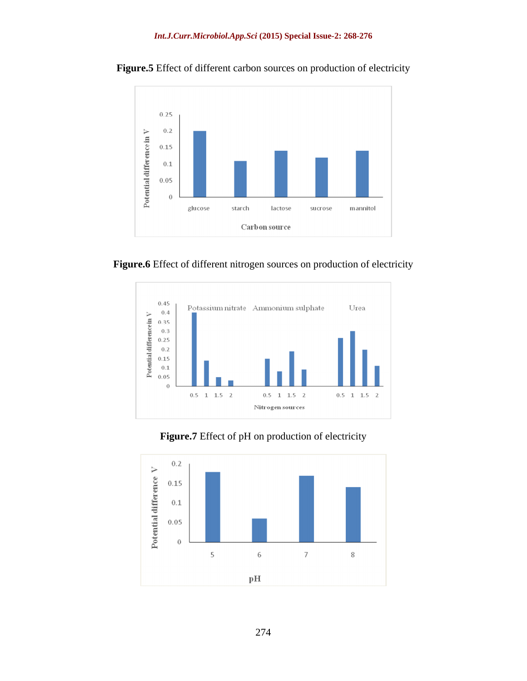

Figure.5 Effect of different carbon sources on production of electricity





**Figure.7** Effect of pH on production of electricity

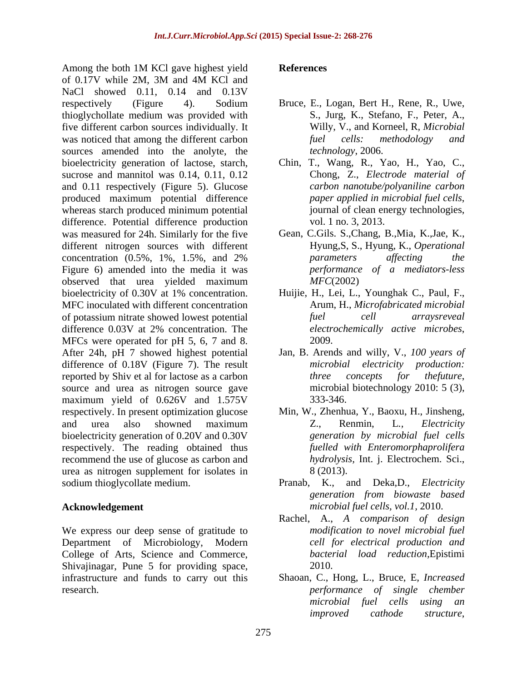Among the both 1M KCl gave highest yield **References** of 0.17V while 2M, 3M and 4M KCl and NaCl showed 0.11, 0.14 and 0.13V respectively (Figure 4). Sodium Bruce, E., Logan, Bert H., Rene, R., Uwe, thioglychollate medium was provided with five different carbon sources individually. It<br>willy, V., and Korneel, R, Mid<br>was noticed that among the different carbon fuel cells: methodology was noticed that among the different carbon fuel cells: methodology and sources amended into the anolyte, the bioelectricity generation of lactose, starch, sucrose and mannitol was 0.14, 0.11, 0.12 and 0.11 respectively (Figure 5). Glucose produced maximum potential difference paper applied in microbial fuel cells, whereas starch produced minimum potential iournal of clean energy technologies, difference. Potential difference production was measured for 24h. Similarly for the five different nitrogen sources with different concentration (0.5%, 1%, 1.5%, and 2% Figure 6) amended into the media it was observed that urea yielded maximum bioelectricity of 0.30V at 1% concentration. MFC inoculated with different concentration of potassium nitrate showed lowest potential fuel cell arrays reveal difference 0.03V at 2% concentration. The *electrochemically active microbes*, MFCs were operated for pH 5, 6, 7 and 8. 2009. After 24h, pH 7 showed highest potential difference of 0.18V (Figure 7). The result *microbial* reported by Shiv et al for lactose as a carbon three concepts for the future, source and urea as nitrogen source gave microbial biotechnology 2010: 5 (3), maximum yield of 0.626V and 1.575V 333-346. respectively. In present optimization glucose Min, W., Zhenhua, Y., Baoxu, H., Jinsheng, and urea also showned maximum  $Z_{\cdot}$ , Renmin, L., *Electricity* bioelectricity generation of 0.20V and 0.30V respectively. The reading obtained thus recommend the use of glucose as carbon and urea as nitrogen supplement for isolates in sodium thioglycollate medium. Pranab, K., and Deka,D., *Electricity* 

We express our deep sense of gratitude to Department of Microbiology, Modern College of Arts, Science and Commerce, Shivajinagar, Pune 5 for providing space, 2010.

#### **References**

- S., Jurg, K., Stefano, F., Peter, A., Willy, V., and Korneel, R*, Microbial fuel cells: methodology and technology*, 2006.
- Chin, T., Wang, R., Yao, H., Yao, C., Chong, Z., *Electrode material of carbon nanotube/polyaniline carbon paper applied in microbial fuel cells*, journal of clean energy technologies, vol. 1 no. 3, 2013.
- Gean, C.Gils. S.,Chang, B.,Mia, K.,Jae, K., Hyung,S, S., Hyung, K., *Operational parameters af ecting the performance of a mediators-less MFC*(2002)
- Huijie, H., Lei, L., Younghak C., Paul, F., Arum, H., *Microfabricated microbial fuel cell arraysreveal electrochemically active microbes*, 2009.
- Jan, B. Arends and willy, V., *100 years of microbial electricity production: three concepts for thefuture*, microbial biotechnology 2010: <sup>5</sup> (3), 333-346.
- Z., Renmin, L*., Electricity generation by microbial fuel cells fuelled with Enteromorphaprolifera hydrolysis,* Int. j. Electrochem. Sci., 8 (2013).
- **Acknowledgement**  *microbial fuel cells, vol.1,* 2010. *generation from biowaste based*
	- Rachel, A., *A comparison of design modification to novel microbial fuel cell for electrical production and bacterial load reduction,*Epistimi 2010.
- infrastructure and funds to carry out this Shaoan, C., Hong, L., Bruce, E*, Increased*  research. *performance of single chember microbial fuel cells using an improved cathode structure*,